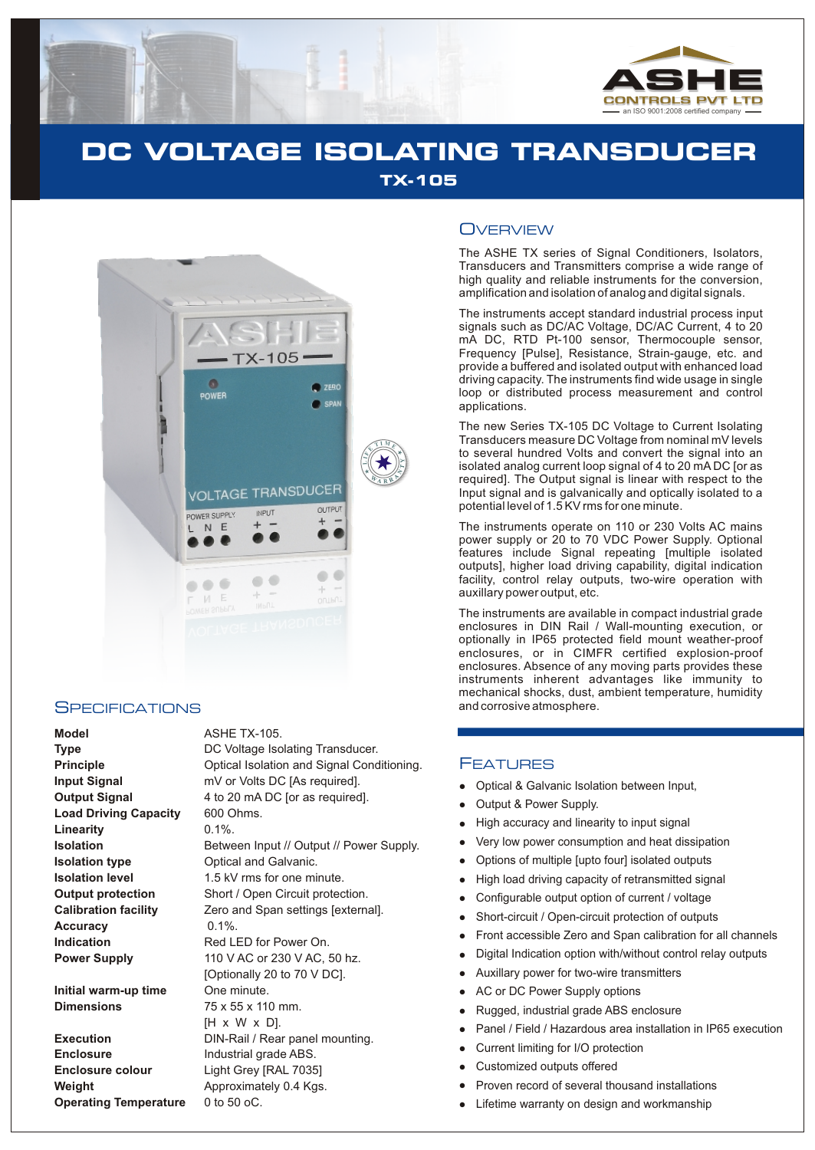

# **DC VOLTAGE ISOLATING TRANSDUCER TX-105**



#### **SPECIFICATIONS**

**Model** ASHE TX-105. Load Driving Capacity 600 Ohms. **Linearity** 0.1%. **Isolation type Optical and Galvanic. Accuracy** 0.1%.

**Initial warm-up time** One minute. **Dimensions** 75 x 55 x 110 mm.

**Enclosure** Industrial grade ABS. **Enclosure colour** Light Grey [RAL 7035] **Weight Approximately 0.4 Kgs. Operating Temperature** 0 to 50 oC.

**Type** DC Voltage Isolating Transducer. **Principle Condition Condition** Optical Isolation and Signal Conditioning. **Input Signal** mV or Volts DC [As required]. **Output Signal** 4 to 20 mA DC [or as required]. **Isolation Between Input // Output // Power Supply. Isolation level** 1.5 kV rms for one minute. **Output protection** Short / Open Circuit protection. **Calibration facility** Zero and Span settings [external]. **Indication Red LED** for Power On. **Power Supply** 110 V AC or 230 V AC, 50 hz. [Optionally 20 to 70 V DC]. [H x W x D]. **Execution** DIN-Rail / Rear panel mounting.

### **OVERVIEW**

The ASHE TX series of Signal Conditioners, Isolators, Transducers and Transmitters comprise a wide range of high quality and reliable instruments for the conversion, amplification and isolation of analog and digital signals.

The instruments accept standard industrial process input signals such as DC/AC Voltage, DC/AC Current, 4 to 20 mA DC, RTD Pt-100 sensor, Thermocouple sensor, Frequency [Pulse], Resistance, Strain-gauge, etc. and provide a buffered and isolated output with enhanced load driving capacity. The instruments find wide usage in single loop or distributed process measurement and control applications.

The new Series TX-105 DC Voltage to Current Isolating Transducers measure DC Voltage from nominal mV levels to several hundred Volts and convert the signal into an isolated analog current loop signal of 4 to 20 mA DC [or as required]. The Output signal is linear with respect to the Input signal and is galvanically and optically isolated to a potential level of 1.5 KV rms for one minute.

The instruments operate on 110 or 230 Volts AC mains power supply or 20 to 70 VDC Power Supply. Optional features include Signal repeating [multiple isolated outputs], higher load driving capability, digital indication facility, control relay outputs, two-wire operation with auxillary power output, etc.

The instruments are available in compact industrial grade enclosures in DIN Rail / Wall-mounting execution, or optionally in IP65 protected field mount weather-proof enclosures, or in CIMFR certified explosion-proof enclosures. Absence of any moving parts provides these instruments inherent advantages like immunity to mechanical shocks, dust, ambient temperature, humidity and corrosive atmosphere.

#### **FEATURES**

- Optical & Galvanic Isolation between Input,
- Output & Power Supply.
- High accuracy and linearity to input signal
- Very low power consumption and heat dissipation
- Options of multiple [upto four] isolated outputs  $\bullet$
- High load driving capacity of retransmitted signal
- Configurable output option of current / voltage  $\bullet$
- Short-circuit / Open-circuit protection of outputs
- Front accessible Zero and Span calibration for all channels
- Digital Indication option with/without control relay outputs
- Auxillary power for two-wire transmitters
- Opti High Very opti High Very opti High Constant High Constant Auxi Auxi Curr Cuss Prov Lifet Lifet Lifet Curr Cuss Prov Lifet Curr Cuss Prov Lifet Curr Cuss Prov AC or DC Power Supply options
- Rugged, industrial grade ABS enclosure
- Panel / Field / Hazardous area installation in IP65 execution
- Current limiting for I/O protection
- Customized outputs offered
- Proven record of several thousand installations
- Lifetime warranty on design and workmanship